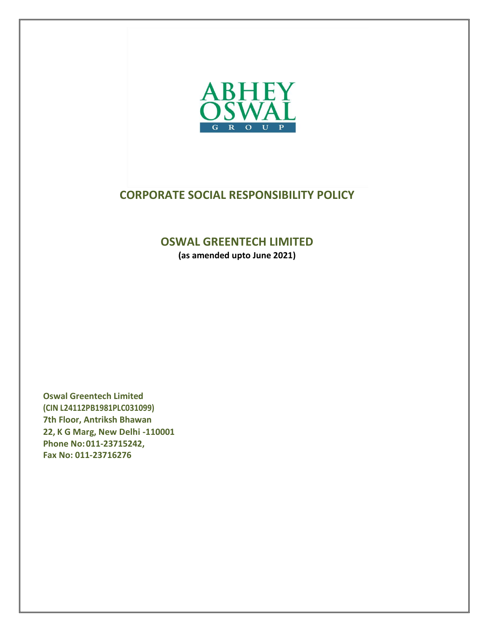

# **CORPORATE SOCIAL RESPONSIBILITY POLICY**

# **OSWAL GREENTECH LIMITED**

**(as amended upto June 2021)**

**Oswal Greentech Limited (CIN L24112PB1981PLC031099) 7th Floor, Antriksh Bhawan 22, K G Marg, New Delhi -110001 Phone No:011-23715242, Fax No: 011-23716276**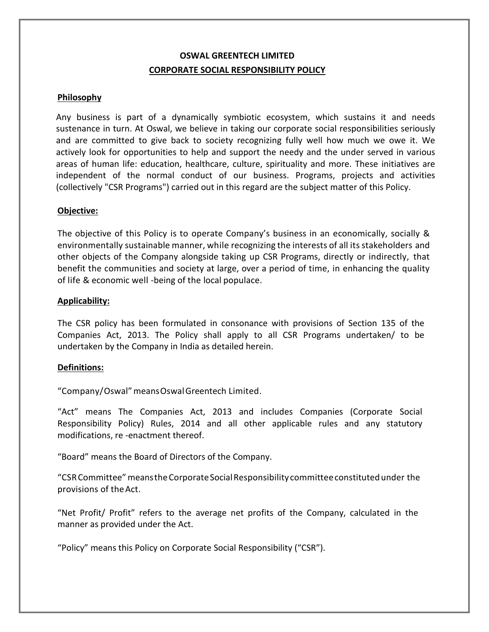# **OSWAL GREENTECH LIMITED CORPORATE SOCIAL RESPONSIBILITY POLICY**

### **Philosophy**

Any business is part of a dynamically symbiotic ecosystem, which sustains it and needs sustenance in turn. At Oswal, we believe in taking our corporate social responsibilities seriously and are committed to give back to society recognizing fully well how much we owe it. We actively look for opportunities to help and support the needy and the under served in various areas of human life: education, healthcare, culture, spirituality and more. These initiatives are independent of the normal conduct of our business. Programs, projects and activities (collectively "CSR Programs") carried out in this regard are the subject matter of this Policy.

### **Objective:**

The objective of this Policy is to operate Company's business in an economically, socially & environmentally sustainable manner, while recognizing the interests of all its stakeholders and other objects of the Company alongside taking up CSR Programs, directly or indirectly, that benefit the communities and society at large, over a period of time, in enhancing the quality of life & economic well -being of the local populace.

### **Applicability:**

The CSR policy has been formulated in consonance with provisions of Section 135 of the Companies Act, 2013. The Policy shall apply to all CSR Programs undertaken/ to be undertaken by the Company in India as detailed herein.

### **Definitions:**

"Company/Oswal"meansOswalGreentech Limited.

"Act" means The Companies Act, 2013 and includes Companies (Corporate Social Responsibility Policy) Rules, 2014 and all other applicable rules and any statutory modifications, re -enactment thereof.

"Board" means the Board of Directors of the Company.

"CSRCommittee"meanstheCorporateSocialResponsibility committeeconstitutedunder the provisions of theAct.

"Net Profit/ Profit" refers to the average net profits of the Company, calculated in the manner as provided under the Act.

"Policy" means this Policy on Corporate Social Responsibility ("CSR").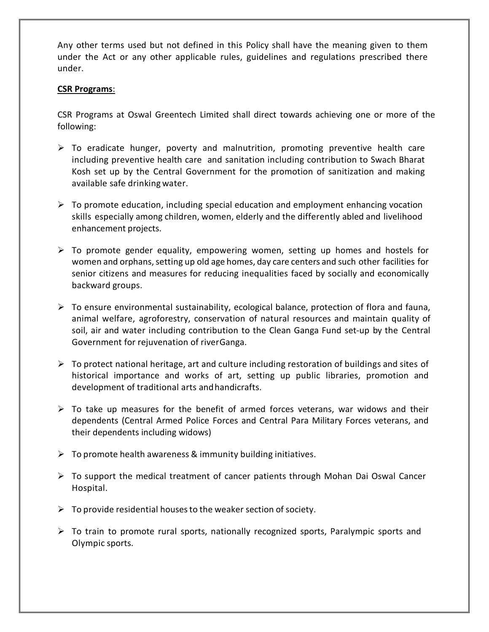Any other terms used but not defined in this Policy shall have the meaning given to them under the Act or any other applicable rules, guidelines and regulations prescribed there under.

#### **CSR Programs**:

CSR Programs at Oswal Greentech Limited shall direct towards achieving one or more of the following:

- $\triangleright$  To eradicate hunger, poverty and malnutrition, promoting preventive health care including preventive health care and sanitation including contribution to Swach Bharat Kosh set up by the Central Government for the promotion of sanitization and making available safe drinking water.
- $\triangleright$  To promote education, including special education and employment enhancing vocation skills especially among children, women, elderly and the differently abled and livelihood enhancement projects.
- $\triangleright$  To promote gender equality, empowering women, setting up homes and hostels for women and orphans, setting up old age homes, day care centers and such other facilities for senior citizens and measures for reducing inequalities faced by socially and economically backward groups.
- $\triangleright$  To ensure environmental sustainability, ecological balance, protection of flora and fauna, animal welfare, agroforestry, conservation of natural resources and maintain quality of soil, air and water including contribution to the Clean Ganga Fund set-up by the Central Government for rejuvenation of riverGanga.
- $\triangleright$  To protect national heritage, art and culture including restoration of buildings and sites of historical importance and works of art, setting up public libraries, promotion and development of traditional arts andhandicrafts.
- $\triangleright$  To take up measures for the benefit of armed forces veterans, war widows and their dependents (Central Armed Police Forces and Central Para Military Forces veterans, and their dependents including widows)
- $\triangleright$  To promote health awareness & immunity building initiatives.
- $\triangleright$  To support the medical treatment of cancer patients through Mohan Dai Oswal Cancer Hospital.
- $\triangleright$  To provide residential houses to the weaker section of society.
- $\triangleright$  To train to promote rural sports, nationally recognized sports, Paralympic sports and Olympic sports.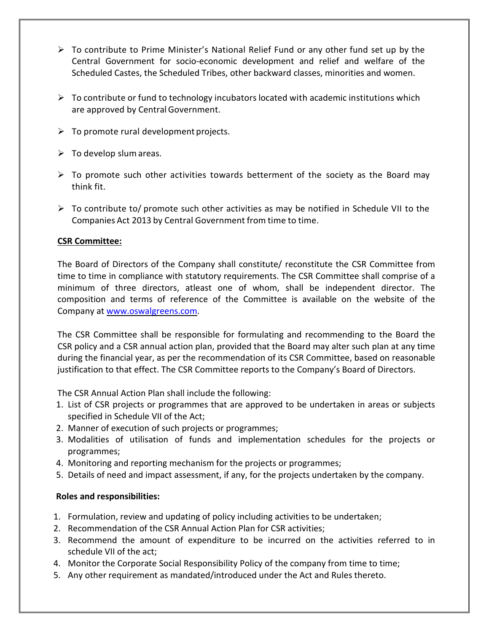- $\triangleright$  To contribute to Prime Minister's National Relief Fund or any other fund set up by the Central Government for socio-economic development and relief and welfare of the Scheduled Castes, the Scheduled Tribes, other backward classes, minorities and women.
- $\triangleright$  To contribute or fund to technology incubators located with academic institutions which are approved by Central Government.
- $\triangleright$  To promote rural development projects.
- $\triangleright$  To develop slum areas.
- $\triangleright$  To promote such other activities towards betterment of the society as the Board may think fit.
- $\triangleright$  To contribute to/ promote such other activities as may be notified in Schedule VII to the Companies Act 2013 by Central Government from time to time.

## **CSR Committee:**

The Board of Directors of the Company shall constitute/ reconstitute the CSR Committee from time to time in compliance with statutory requirements. The CSR Committee shall comprise of a minimum of three directors, atleast one of whom, shall be independent director. The composition and terms of reference of the Committee is available on the website of the Company at [www.oswalgreens.com.](http://www.oswalgreens.com/)

The CSR Committee shall be responsible for formulating and recommending to the Board the CSR policy and a CSR annual action plan, provided that the Board may alter such plan at any time during the financial year, as per the recommendation of its CSR Committee, based on reasonable justification to that effect. The CSR Committee reports to the Company's Board of Directors.

The CSR Annual Action Plan shall include the following:

- 1. List of CSR projects or programmes that are approved to be undertaken in areas or subjects specified in Schedule VII of the Act;
- 2. Manner of execution of such projects or programmes;
- 3. Modalities of utilisation of funds and implementation schedules for the projects or programmes;
- 4. Monitoring and reporting mechanism for the projects or programmes;
- 5. Details of need and impact assessment, if any, for the projects undertaken by the company.

# **Roles and responsibilities:**

- 1. Formulation, review and updating of policy including activities to be undertaken;
- 2. Recommendation of the CSR Annual Action Plan for CSR activities;
- 3. Recommend the amount of expenditure to be incurred on the activities referred to in schedule VII of the act;
- 4. Monitor the Corporate Social Responsibility Policy of the company from time to time;
- 5. Any other requirement as mandated/introduced under the Act and Rules thereto.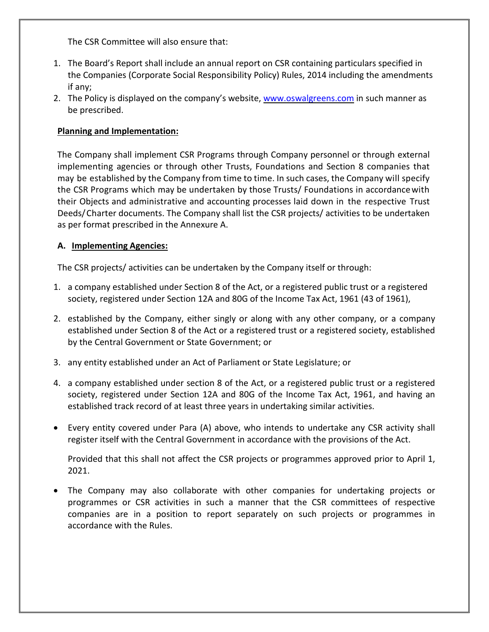The CSR Committee will also ensure that:

- 1. The Board's Report shall include an annual report on CSR containing particulars specified in the Companies (Corporate Social Responsibility Policy) Rules, 2014 including the amendments if any;
- 2. The Policy is displayed on the company's website, [www.oswalgreens.com](http://www.oswalgreens.com/) in such manner as be prescribed.

# **Planning and Implementation:**

The Company shall implement CSR Programs through Company personnel or through external implementing agencies or through other Trusts, Foundations and Section 8 companies that may be established by the Company from time to time. In such cases, the Company will specify the CSR Programs which may be undertaken by those Trusts/ Foundations in accordancewith their Objects and administrative and accounting processes laid down in the respective Trust Deeds/Charter documents. The Company shall list the CSR projects/ activities to be undertaken as per format prescribed in the Annexure A.

## **A. Implementing Agencies:**

The CSR projects/ activities can be undertaken by the Company itself or through:

- 1. a company established under Section 8 of the Act, or a registered public trust or a registered society, registered under Section 12A and 80G of the Income Tax Act, 1961 (43 of 1961),
- 2. established by the Company, either singly or along with any other company, or a company established under Section 8 of the Act or a registered trust or a registered society, established by the Central Government or State Government; or
- 3. any entity established under an Act of Parliament or State Legislature; or
- 4. a company established under section 8 of the Act, or a registered public trust or a registered society, registered under Section 12A and 80G of the Income Tax Act, 1961, and having an established track record of at least three years in undertaking similar activities.
- Every entity covered under Para (A) above, who intends to undertake any CSR activity shall register itself with the Central Government in accordance with the provisions of the Act.

Provided that this shall not affect the CSR projects or programmes approved prior to April 1, 2021.

• The Company may also collaborate with other companies for undertaking projects or programmes or CSR activities in such a manner that the CSR committees of respective companies are in a position to report separately on such projects or programmes in accordance with the Rules.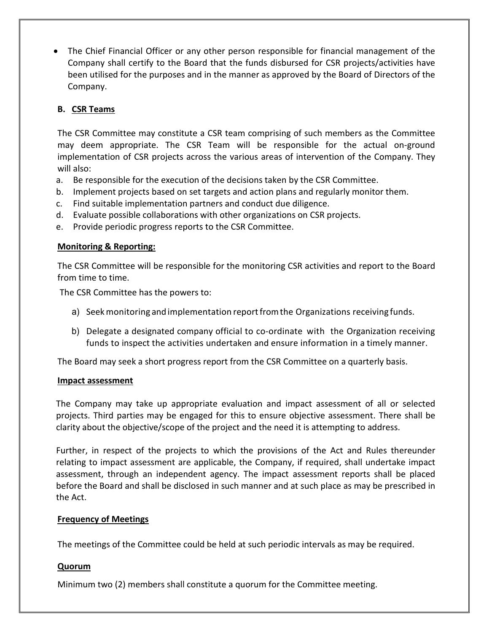• The Chief Financial Officer or any other person responsible for financial management of the Company shall certify to the Board that the funds disbursed for CSR projects/activities have been utilised for the purposes and in the manner as approved by the Board of Directors of the Company.

# **B. CSR Teams**

The CSR Committee may constitute a CSR team comprising of such members as the Committee may deem appropriate. The CSR Team will be responsible for the actual on-ground implementation of CSR projects across the various areas of intervention of the Company. They will also:

- a. Be responsible for the execution of the decisions taken by the CSR Committee.
- b. Implement projects based on set targets and action plans and regularly monitor them.
- c. Find suitable implementation partners and conduct due diligence.
- d. Evaluate possible collaborations with other organizations on CSR projects.
- e. Provide periodic progress reports to the CSR Committee.

## **Monitoring & Reporting:**

The CSR Committee will be responsible for the monitoring CSR activities and report to the Board from time to time.

The CSR Committee has the powers to:

- a) Seek monitoring and implementation report from the Organizations receiving funds.
- b) Delegate a designated company official to co-ordinate with the Organization receiving funds to inspect the activities undertaken and ensure information in a timely manner.

The Board may seek a short progress report from the CSR Committee on a quarterly basis.

### **Impact assessment**

The Company may take up appropriate evaluation and impact assessment of all or selected projects. Third parties may be engaged for this to ensure objective assessment. There shall be clarity about the objective/scope of the project and the need it is attempting to address.

Further, in respect of the projects to which the provisions of the Act and Rules thereunder relating to impact assessment are applicable, the Company, if required, shall undertake impact assessment, through an independent agency. The impact assessment reports shall be placed before the Board and shall be disclosed in such manner and at such place as may be prescribed in the Act.

## **Frequency of Meetings**

The meetings of the Committee could be held at such periodic intervals as may be required.

## **Quorum**

Minimum two (2) members shall constitute a quorum for the Committee meeting.